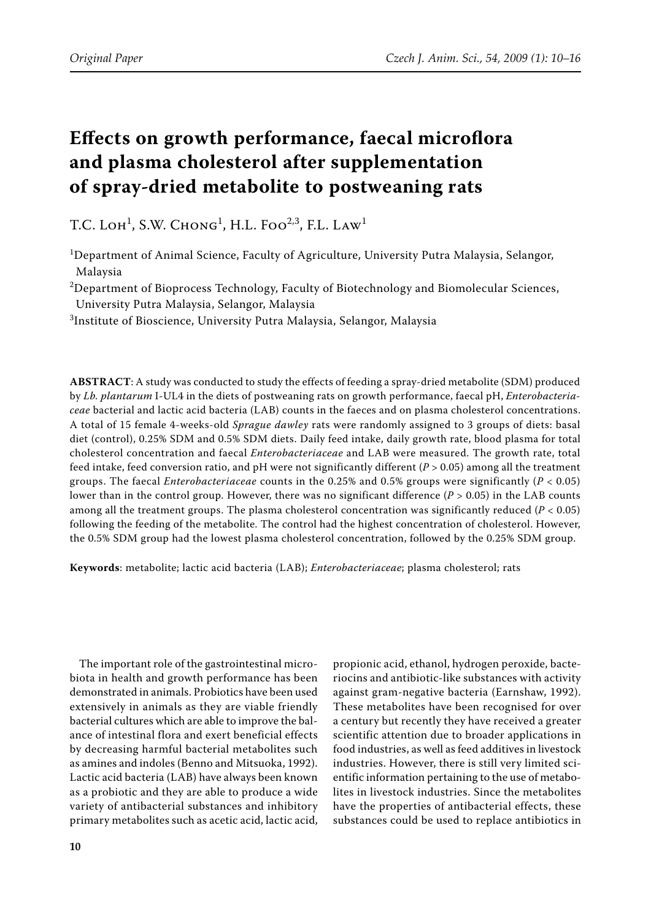# **Effects on growth performance, faecal microflora and plasma cholesterol after supplementation of spray-dried metabolite to postweaning rats**

T.C. Loh<sup>1</sup>, S.W. Chong<sup>1</sup>, H.L. Foo<sup>2,3</sup>, F.L. Law<sup>1</sup>

<sup>1</sup>Department of Animal Science, Faculty of Agriculture, University Putra Malaysia, Selangor, Malaysia

 $^{2}$ Department of Bioprocess Technology, Faculty of Biotechnology and Biomolecular Sciences, University Putra Malaysia, Selangor, Malaysia

 $^3$ Institute of Bioscience, University Putra Malaysia, Selangor, Malaysia

**ABSTRACT**: A study was conducted to study the effects of feeding a spray-dried metabolite (SDM) produced by *Lb. plantarum* I-UL4 in the diets of postweaning rats on growth performance, faecal pH, *Enterobacteriaceae* bacterial and lactic acid bacteria (LAB) counts in the faeces and on plasma cholesterol concentrations. A total of 15 female 4-weeks-old *Sprague dawley* rats were randomly assigned to 3 groups of diets: basal diet (control), 0.25% SDM and 0.5% SDM diets. Daily feed intake, daily growth rate, blood plasma for total cholesterol concentration and faecal *Enterobacteriaceae* and LAB were measured. The growth rate, total feed intake, feed conversion ratio, and  $pH$  were not significantly different ( $P > 0.05$ ) among all the treatment groups. The faecal *Enterobacteriaceae* counts in the 0.25% and 0.5% groups were significantly (*P* < 0.05) lower than in the control group. However, there was no significant difference (*P* > 0.05) in the LAB counts among all the treatment groups. The plasma cholesterol concentration was significantly reduced (*P* < 0.05) following the feeding of the metabolite. The control had the highest concentration of cholesterol. However, the 0.5% SDM group had the lowest plasma cholesterol concentration, followed by the 0.25% SDM group.

**Keywords**: metabolite; lactic acid bacteria (LAB); *Enterobacteriaceae*; plasma cholesterol; rats

The important role of the gastrointestinal microbiota in health and growth performance has been demonstrated in animals. Probiotics have been used extensively in animals as they are viable friendly bacterial cultures which are able to improve the balance of intestinal flora and exert beneficial effects by decreasing harmful bacterial metabolites such as amines and indoles (Benno and Mitsuoka, 1992). Lactic acid bacteria (LAB) have always been known as a probiotic and they are able to produce a wide variety of antibacterial substances and inhibitory primary metabolites such as acetic acid, lactic acid,

propionic acid, ethanol, hydrogen peroxide, bacteriocins and antibiotic-like substances with activity against gram-negative bacteria (Earnshaw, 1992). These metabolites have been recognised for over a century but recently they have received a greater scientific attention due to broader applications in food industries, as well as feed additives in livestock industries. However, there is still very limited scientific information pertaining to the use of metabolites in livestock industries. Since the metabolites have the properties of antibacterial effects, these substances could be used to replace antibiotics in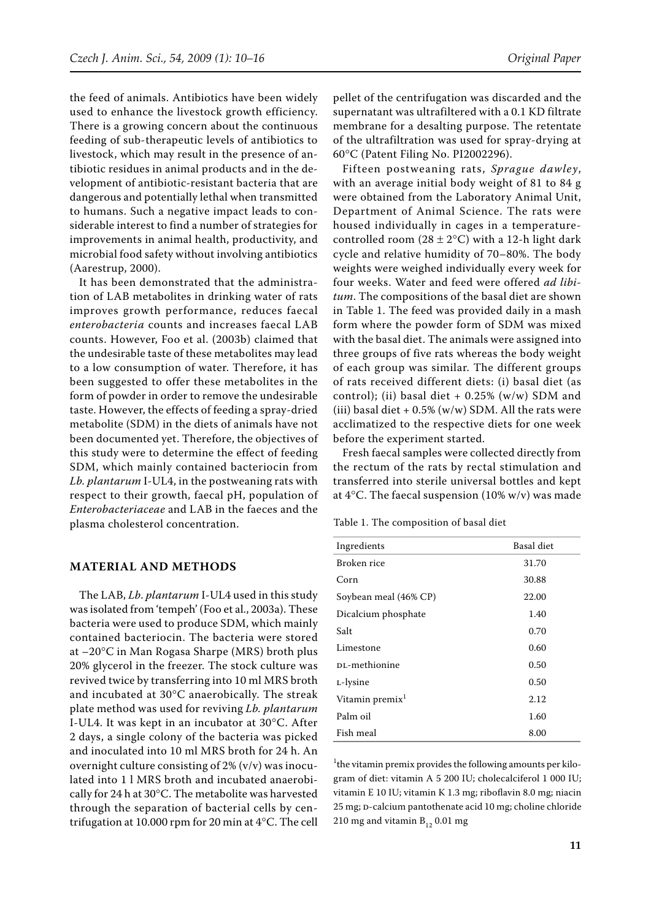the feed of animals. Antibiotics have been widely used to enhance the livestock growth efficiency. There is a growing concern about the continuous feeding of sub-therapeutic levels of antibiotics to livestock, which may result in the presence of antibiotic residues in animal products and in the development of antibiotic-resistant bacteria that are dangerous and potentially lethal when transmitted to humans. Such a negative impact leads to considerable interest to find a number of strategies for improvements in animal health, productivity, and microbial food safety without involving antibiotics (Aarestrup, 2000).

It has been demonstrated that the administration of LAB metabolites in drinking water of rats improves growth performance, reduces faecal *enterobacteria* counts and increases faecal LAB counts. However, Foo et al. (2003b) claimed that the undesirable taste of these metabolites may lead to a low consumption of water. Therefore, it has been suggested to offer these metabolites in the form of powder in order to remove the undesirable taste. However, the effects of feeding a spray-dried metabolite (SDM) in the diets of animals have not been documented yet. Therefore, the objectives of this study were to determine the effect of feeding SDM, which mainly contained bacteriocin from *Lb. plantarum* I-UL4, in the postweaning rats with respect to their growth, faecal pH, population of *Enterobacteriaceae* and LAB in the faeces and the plasma cholesterol concentration.

#### **MATERIAL AND METHODS**

The LAB, *Lb*. *plantarum* I-UL4 used in this study was isolated from 'tempeh' (Foo et al., 2003a). These bacteria were used to produce SDM, which mainly contained bacteriocin. The bacteria were stored at –20°C in Man Rogasa Sharpe (MRS) broth plus 20% glycerol in the freezer. The stock culture was revived twice by transferring into 10 ml MRS broth and incubated at 30°C anaerobically. The streak plate method was used for reviving *Lb. plantarum* I-UL4. It was kept in an incubator at 30°C. After 2 days, a single colony of the bacteria was picked and inoculated into 10 ml MRS broth for 24 h. An overnight culture consisting of 2% (v/v) was inoculated into 1 l MRS broth and incubated anaerobically for 24 h at 30°C. The metabolite was harvested through the separation of bacterial cells by centrifugation at 10.000 rpm for 20 min at 4°C. The cell

pellet of the centrifugation was discarded and the supernatant was ultrafiltered with a 0.1 KD filtrate membrane for a desalting purpose. The retentate of the ultrafiltration was used for spray-drying at 60°C (Patent Filing No. PI2002296).

Fifteen postweaning rats, *Sprague dawley*, with an average initial body weight of 81 to 84 g were obtained from the Laboratory Animal Unit, Department of Animal Science. The rats were housed individually in cages in a temperaturecontrolled room (28  $\pm$  2°C) with a 12-h light dark cycle and relative humidity of 70–80%. The body weights were weighed individually every week for four weeks. Water and feed were offered *ad libitum*. The compositions of the basal diet are shown in Table 1. The feed was provided daily in a mash form where the powder form of SDM was mixed with the basal diet. The animals were assigned into three groups of five rats whereas the body weight of each group was similar. The different groups of rats received different diets: (i) basal diet (as control); (ii) basal diet  $+ 0.25\%$  (w/w) SDM and (iii) basal diet +  $0.5\%$  (w/w) SDM. All the rats were acclimatized to the respective diets for one week before the experiment started.

Fresh faecal samples were collected directly from the rectum of the rats by rectal stimulation and transferred into sterile universal bottles and kept at 4°C. The faecal suspension (10% w/v) was made

| Ingredients                 | Basal diet |
|-----------------------------|------------|
| Broken rice                 | 31.70      |
| Corn                        | 30.88      |
| Soybean meal (46% CP)       | 22.00      |
| Dicalcium phosphate         | 1.40       |
| Salt                        | 0.70       |
| Limestone                   | 0.60       |
| DL-methionine               | 0.50       |
| L-lysine                    | 0.50       |
| Vitamin premix <sup>1</sup> | 2.12       |
| Palm oil                    | 1.60       |
| Fish meal                   | 8.00       |

Table 1. The composition of basal diet

<sup>1</sup> the vitamin premix provides the following amounts per kilogram of diet: vitamin A 5 200 IU; cholecalciferol 1 000 IU; vitamin E 10 IU; vitamin K 1.3 mg; riboflavin 8.0 mg; niacin 25 mg; D-calcium pantothenate acid 10 mg; choline chloride 210 mg and vitamin  $B_{12}$  0.01 mg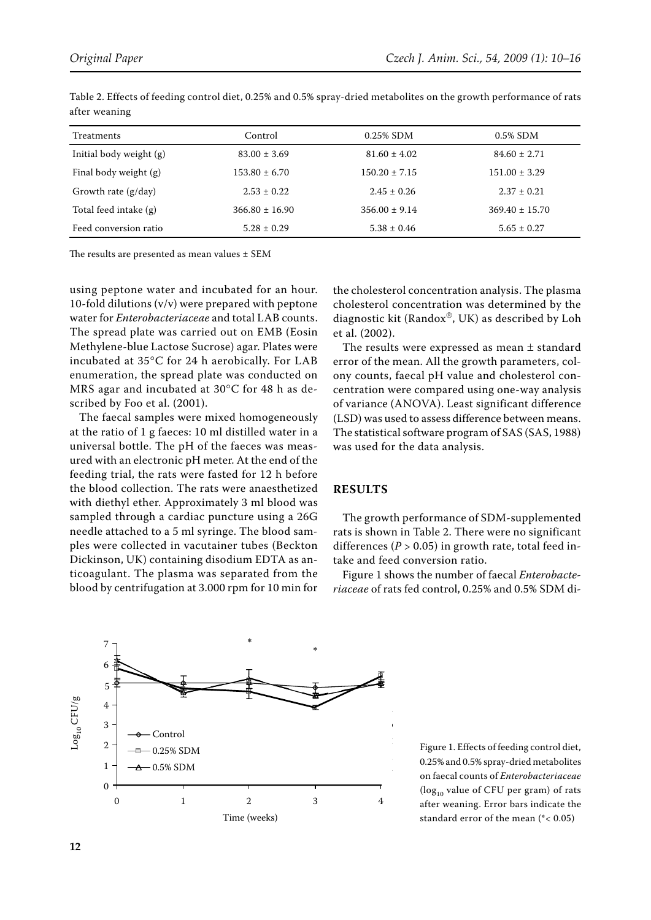| <b>Treatments</b>       | Control            | $0.25\%$ SDM      | $0.5\%$ SDM        |
|-------------------------|--------------------|-------------------|--------------------|
| Initial body weight (g) | $83.00 \pm 3.69$   | $81.60 \pm 4.02$  | $84.60 \pm 2.71$   |
| Final body weight (g)   | $153.80 \pm 6.70$  | $150.20 \pm 7.15$ | $151.00 \pm 3.29$  |
| Growth rate $(g/day)$   | $2.53 \pm 0.22$    | $2.45 \pm 0.26$   | $2.37 \pm 0.21$    |
| Total feed intake (g)   | $366.80 \pm 16.90$ | $356.00 \pm 9.14$ | $369.40 \pm 15.70$ |
| Feed conversion ratio   | $5.28 \pm 0.29$    | $5.38 \pm 0.46$   | $5.65 \pm 0.27$    |

Table 2. Effects of feeding control diet, 0.25% and 0.5% spray-dried metabolites on the growth performance of rats after weaning

The results are presented as mean values ± SEM

using peptone water and incubated for an hour. 10-fold dilutions (v/v) were prepared with peptone water for *Enterobacteriaceae* and total LAB counts. The spread plate was carried out on EMB (Eosin Methylene-blue Lactose Sucrose) agar. Plates were incubated at 35°C for 24 h aerobically. For LAB enumeration, the spread plate was conducted on MRS agar and incubated at 30°C for 48 h as described by Foo et al. (2001).

The faecal samples were mixed homogeneously at the ratio of 1 g faeces: 10 ml distilled water in a universal bottle. The pH of the faeces was measured with an electronic pH meter. At the end of the feeding trial, the rats were fasted for 12 h before the blood collection. The rats were anaesthetized with diethyl ether. Approximately 3 ml blood was sampled through a cardiac puncture using a 26G needle attached to a 5 ml syringe. The blood samples were collected in vacutainer tubes (Beckton Dickinson, UK) containing disodium EDTA as anticoagulant. The plasma was separated from the blood by centrifugation at 3.000 rpm for 10 min for

the cholesterol concentration analysis. The plasma cholesterol concentration was determined by the diagnostic kit (Randox®, UK) as described by Loh et al. (2002).

The results were expressed as mean  $\pm$  standard error of the mean. All the growth parameters, colony counts, faecal pH value and cholesterol concentration were compared using one-way analysis of variance (ANOVA). Least significant difference (LSD) was used to assess difference between means. The statistical software program of SAS (SAS, 1988) was used for the data analysis.

### **RESULTS**

The growth performance of SDM-supplemented rats is shown in Table 2. There were no significant differences ( $P > 0.05$ ) in growth rate, total feed intake and feed conversion ratio.

Figure 1 shows the number of faecal *Enterobacteriaceae* of rats fed control, 0.25% and 0.5% SDM di-



Figure 1. Effects of feeding control diet,  $0.25\%$  and  $0.5\%$  spray-dried metabolites on faecal counts of *Enterobacteriaceae* ( $log_{10}$  value of CFU per gram) of rats after weaning. Error bars indicate the standard error of the mean (\*< 0.05)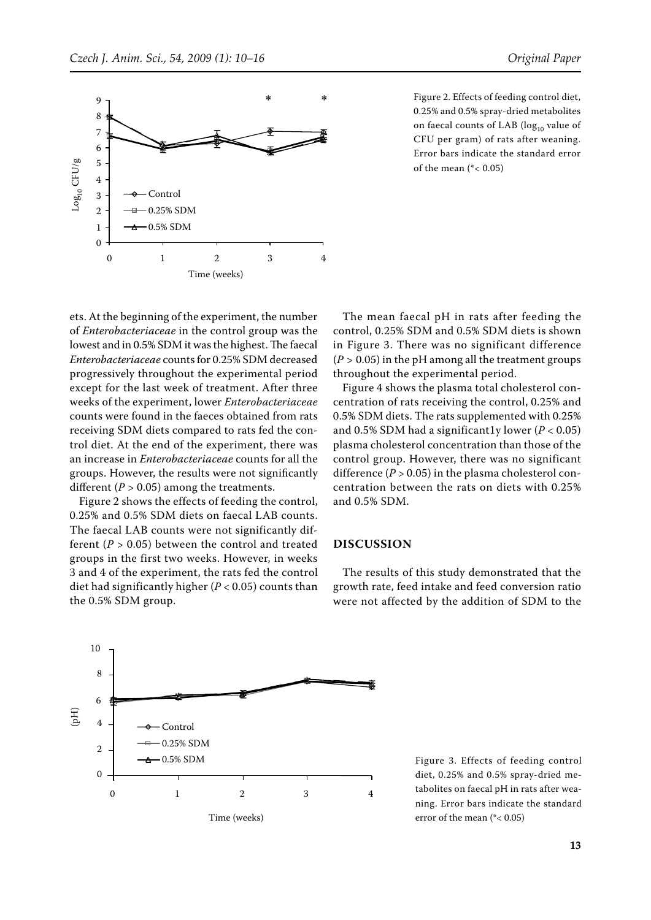

Figure 2. Effects of feeding control diet, 0.25% and 0.5% spray-dried metabolites on faecal counts of LAB ( $log_{10}$  value of CFU per gram) of rats after weaning. Error bars indicate the standard error of the mean  $(*< 0.05)$ Control

ets. At the beginning of the experiment, the number of *Enterobacteriaceae* in the control group was the lowest and in 0.5% SDM it was the highest. The faecal *Enterobacteriaceae* counts for 0.25% SDM decreased progressively throughout the experimental period except for the last week of treatment. After three weeks of the experiment, lower *Enterobacteriaceae*  counts were found in the faeces obtained from rats receiving SDM diets compared to rats fed the control diet. At the end of the experiment, there was an increase in *Enterobacteriaceae* counts for all the groups. However, the results were not significantly different ( $P > 0.05$ ) among the treatments.

Figure 2 shows the effects of feeding the control, 0.25% and 0.5% SDM diets on faecal LAB counts. The faecal LAB counts were not significantly different  $(P > 0.05)$  between the control and treated groups in the first two weeks. However, in weeks 3 and 4 of the experiment, the rats fed the control diet had significantly higher  $(P < 0.05)$  counts than the 0.5% SDM group.

The mean faecal pH in rats after feeding the control, 0.25% SDM and 0.5% SDM diets is shown in Figure 3. There was no significant difference  $(P > 0.05)$  in the pH among all the treatment groups throughout the experimental period.

Figure 4 shows the plasma total cholesterol concentration of rats receiving the control, 0.25% and 0.5% SDM diets. The rats supplemented with 0.25% and 0.5% SDM had a significantly lower  $(P < 0.05)$ plasma cholesterol concentration than those of the control group. However, there was no significant difference  $(P > 0.05)$  in the plasma cholesterol concentration between the rats on diets with 0.25% and 0.5% SDM.

## **DISCUSSION**

The results of this study demonstrated that the growth rate, feed intake and feed conversion ratio were not affected by the addition of SDM to the



Figure 3. Effects of feeding control diet, 0.25% and 0.5% spray-dried metabolites on faecal pH in rats after weaning. Error bars indicate the standard error of the mean (\*< 0.05)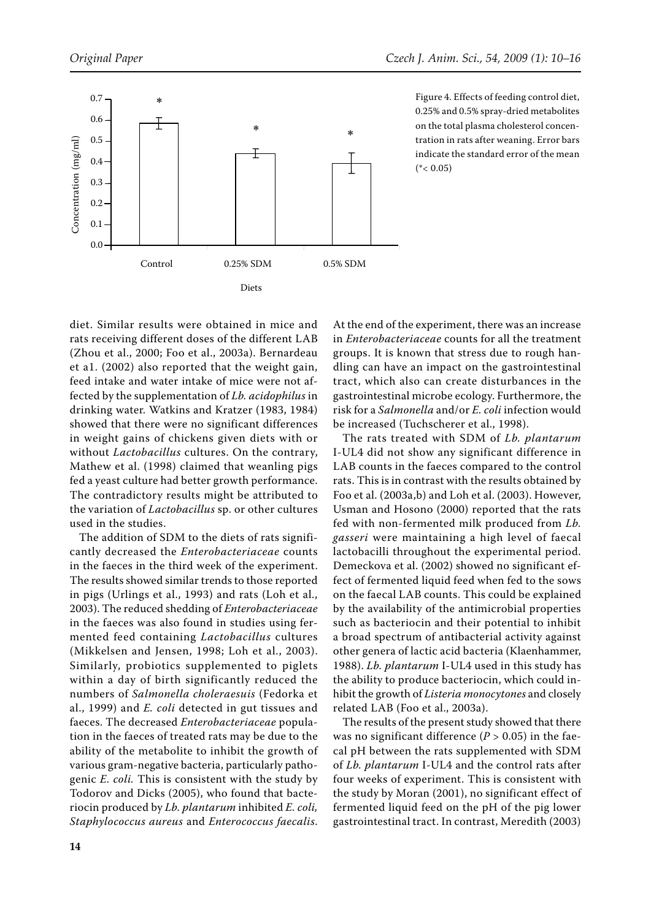

Figure 4. Effects of feeding control diet, 0.25% and 0.5% spray-dried metabolites on the total plasma cholesterol concentration in rats after weaning. Error bars indicate the standard error of the mean  $(*< 0.05)$ 

diet. Similar results were obtained in mice and rats receiving different doses of the different LAB (Zhou et al., 2000; Foo et al., 2003a). Bernardeau et a1. (2002) also reported that the weight gain, feed intake and water intake of mice were not affected by the supplementation of *Lb. acidophilus* in drinking water. Watkins and Kratzer (1983, 1984) showed that there were no significant differences in weight gains of chickens given diets with or without *Lactobacillus* cultures. On the contrary, Mathew et al. (1998) claimed that weanling pigs fed a yeast culture had better growth performance. The contradictory results might be attributed to the variation of *Lactobacillus* sp. or other cultures used in the studies.

The addition of SDM to the diets of rats significantly decreased the *Enterobacteriaceae* counts in the faeces in the third week of the experiment. The results showed similar trends to those reported in pigs (Urlings et al., 1993) and rats (Loh et al., 2003). The reduced shedding of *Enterobacteriaceae*  in the faeces was also found in studies using fermented feed containing *Lactobacillus* cultures (Mikkelsen and Jensen, 1998; Loh et al., 2003). Similarly, probiotics supplemented to piglets within a day of birth significantly reduced the numbers of *Salmonella choleraesuis* (Fedorka et al., 1999) and *E. coli* detected in gut tissues and faeces. The decreased *Enterobacteriaceae* population in the faeces of treated rats may be due to the ability of the metabolite to inhibit the growth of various gram-negative bacteria, particularly pathogenic *E. coli.* This is consistent with the study by Todorov and Dicks (2005), who found that bacteriocin produced by *Lb. plantarum* inhibited *E. coli, Staphylococcus aureus* and *Enterococcus faecalis*. At the end of the experiment, there was an increase in *Enterobacteriaceae* counts for all the treatment groups. It is known that stress due to rough handling can have an impact on the gastrointestinal tract, which also can create disturbances in the gastrointestinal microbe ecology. Furthermore, the risk for a *Salmonella* and/or *E. coli* infection would be increased (Tuchscherer et al., 1998).

The rats treated with SDM of *Lb. plantarum*  I-UL4 did not show any significant difference in LAB counts in the faeces compared to the control rats. This is in contrast with the results obtained by Foo et al. (2003a,b) and Loh et al. (2003). However, Usman and Hosono (2000) reported that the rats fed with non-fermented milk produced from *Lb. gasseri* were maintaining a high level of faecal lactobacilli throughout the experimental period. Demeckova et al. (2002) showed no significant effect of fermented liquid feed when fed to the sows on the faecal LAB counts. This could be explained by the availability of the antimicrobial properties such as bacteriocin and their potential to inhibit a broad spectrum of antibacterial activity against other genera of lactic acid bacteria (Klaenhammer, 1988). *Lb. plantarum* I-UL4 used in this study has the ability to produce bacteriocin, which could inhibit the growth of *Listeria monocytones* and closely related LAB (Foo et al., 2003a).

The results of the present study showed that there was no significant difference ( $P > 0.05$ ) in the faecal pH between the rats supplemented with SDM of *Lb. plantarum* I-UL4 and the control rats after four weeks of experiment. This is consistent with the study by Moran (2001), no significant effect of fermented liquid feed on the pH of the pig lower gastrointestinal tract. In contrast, Meredith (2003)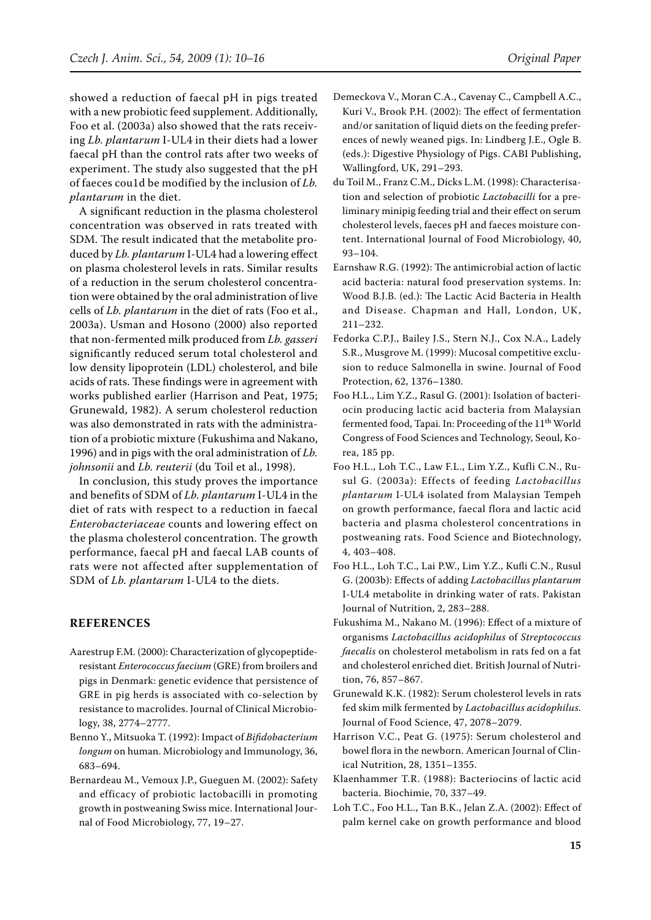showed a reduction of faecal pH in pigs treated with a new probiotic feed supplement. Additionally, Foo et al. (2003a) also showed that the rats receiving *Lb. plantarum* I-UL4 in their diets had a lower faecal pH than the control rats after two weeks of experiment. The study also suggested that the pH of faeces cou1d be modified by the inclusion of *Lb. plantarum* in the diet.

A significant reduction in the plasma cholesterol concentration was observed in rats treated with SDM. The result indicated that the metabolite produced by *Lb. plantarum* I-UL4 had a lowering effect on plasma cholesterol levels in rats. Similar results of a reduction in the serum cholesterol concentration were obtained by the oral administration of live cells of *Lb. plantarum* in the diet of rats (Foo et al., 2003a). Usman and Hosono (2000) also reported that non-fermented milk produced from *Lb. gasseri* significantly reduced serum total cholesterol and low density lipoprotein (LDL) cholesterol, and bile acids of rats. These findings were in agreement with works published earlier (Harrison and Peat, 1975; Grunewald, 1982). A serum cholesterol reduction was also demonstrated in rats with the administration of a probiotic mixture (Fukushima and Nakano, 1996) and in pigs with the oral administration of *Lb. johnsonii* and *Lb. reuterii* (du Toil et al., 1998).

In conclusion, this study proves the importance and benefits of SDM of *Lb. plantarum* I-UL4 in the diet of rats with respect to a reduction in faecal *Enterobacteriaceae* counts and lowering effect on the plasma cholesterol concentration. The growth performance, faecal pH and faecal LAB counts of rats were not affected after supplementation of SDM of *Lb. plantarum* I-UL4 to the diets.

### **REFERENCES**

- Aarestrup F.M. (2000): Characterization of glycopeptideresistant *Enterococcus faecium* (GRE) from broilers and pigs in Denmark: genetic evidence that persistence of GRE in pig herds is associated with co-selection by resistance to macrolides. Journal of Clinical Microbiology, 38, 2774–2777.
- Benno Y., Mitsuoka T. (1992): Impact of *Bifidobacterium longum* on human. Microbiology and Immunology, 36, 683–694.
- Bernardeau M., Vemoux J.P., Gueguen M. (2002): Safety and efficacy of probiotic lactobacilli in promoting growth in postweaning Swiss mice. International Journal of Food Microbiology, 77, 19–27.
- Demeckova V., Moran C.A., Cavenay C., Campbell A.C., Kuri V., Brook P.H. (2002): The effect of fermentation and/or sanitation of liquid diets on the feeding preferences of newly weaned pigs. In: Lindberg J.E., Ogle B. (eds.): Digestive Physiology of Pigs. CABI Publishing, Wallingford, UK, 291–293.
- du Toil M., Franz C.M., Dicks L.M. (1998): Characterisation and selection of probiotic *Lactobacilli* for a preliminary minipig feeding trial and their effect on serum cholesterol levels, faeces pH and faeces moisture content. International Journal of Food Microbiology, 40, 93–104.
- Earnshaw R.G. (1992): The antimicrobial action of lactic acid bacteria: natural food preservation systems. In: Wood B.J.B. (ed.): The Lactic Acid Bacteria in Health and Disease. Chapman and Hall, London, UK, 211–232.
- Fedorka C.P.J., Bailey J.S., Stern N.J., Cox N.A., Ladely S.R., Musgrove M. (1999): Mucosal competitive exclusion to reduce Salmonella in swine. Journal of Food Protection, 62, 1376–1380.
- Foo H.L., Lim Y.Z., Rasul G. (2001): Isolation of bacteriocin producing lactic acid bacteria from Malaysian fermented food, Tapai. In: Proceeding of the 11<sup>th</sup> World Congress of Food Sciences and Technology, Seoul, Korea, 185 pp.
- Foo H.L., Loh T.C., Law F.L., Lim Y.Z., Kufli C.N., Rusul G. (2003a): Effects of feeding *Lactobacillus plantarum* I-UL4 isolated from Malaysian Tempeh on growth performance, faecal flora and lactic acid bacteria and plasma cholesterol concentrations in postweaning rats. Food Science and Biotechnology, 4, 403–408.
- Foo H.L., Loh T.C., Lai P.W., Lim Y.Z., Kufli C.N., Rusul G. (2003b): Effects of adding *Lactobacillus plantarum* I-UL4 metabolite in drinking water of rats. Pakistan Journal of Nutrition, 2, 283–288.
- Fukushima M., Nakano M. (1996): Effect of a mixture of organisms *Lactobacillus acidophilus* of *Streptococcus faecalis* on cholesterol metabolism in rats fed on a fat and cholesterol enriched diet. British Journal of Nutrition, 76, 857–867.
- Grunewald K.K. (1982): Serum cholesterol levels in rats fed skim milk fermented by *Lactobacillus acidophilus*. Journal of Food Science, 47, 2078–2079.
- Harrison V.C., Peat G. (1975): Serum cholesterol and bowel flora in the newborn. American Journal of Clinical Nutrition, 28, 1351–1355.
- Klaenhammer T.R. (1988): Bacteriocins of lactic acid bacteria. Biochimie, 70, 337–49.
- Loh T.C., Foo H.L., Tan B.K., Jelan Z.A. (2002): Effect of palm kernel cake on growth performance and blood